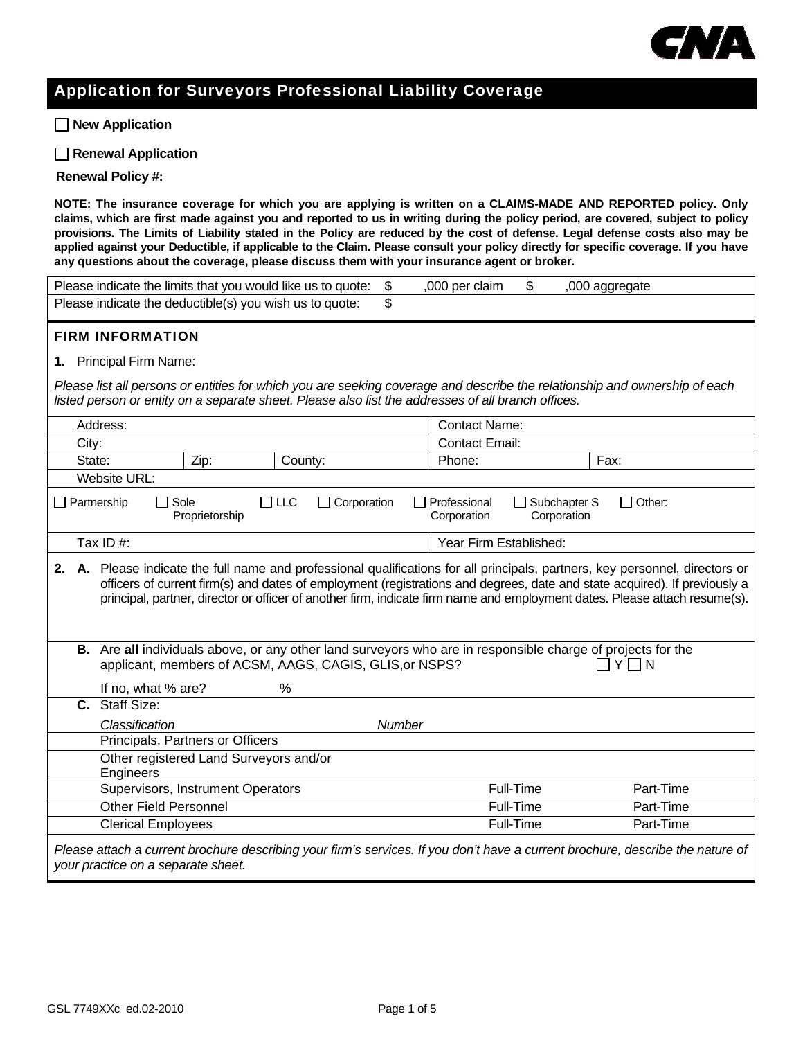

## Application for Surveyors Professional Liability Coverage

 **New Application**

 **Renewal Application**

**Renewal Policy #:** 

**NOTE: The insurance coverage for which you are applying is written on a CLAIMS-MADE AND REPORTED policy. Only claims, which are first made against you and reported to us in writing during the policy period, are covered, subject to policy provisions. The Limits of Liability stated in the Policy are reduced by the cost of defense. Legal defense costs also may be applied against your Deductible, if applicable to the Claim. Please consult your policy directly for specific coverage. If you have any questions about the coverage, please discuss them with your insurance agent or broker.** 

| \$<br>\$<br>Please indicate the limits that you would like us to quote:<br>,000 per claim<br>,000 aggregate                                                                                                                      |                                                                                                                                                                                                                                                                                                                                                                                       |                                   |         |                      |                       |           |  |
|----------------------------------------------------------------------------------------------------------------------------------------------------------------------------------------------------------------------------------|---------------------------------------------------------------------------------------------------------------------------------------------------------------------------------------------------------------------------------------------------------------------------------------------------------------------------------------------------------------------------------------|-----------------------------------|---------|----------------------|-----------------------|-----------|--|
| \$<br>Please indicate the deductible(s) you wish us to quote:                                                                                                                                                                    |                                                                                                                                                                                                                                                                                                                                                                                       |                                   |         |                      |                       |           |  |
| <b>FIRM INFORMATION</b>                                                                                                                                                                                                          |                                                                                                                                                                                                                                                                                                                                                                                       |                                   |         |                      |                       |           |  |
|                                                                                                                                                                                                                                  | 1. Principal Firm Name:                                                                                                                                                                                                                                                                                                                                                               |                                   |         |                      |                       |           |  |
|                                                                                                                                                                                                                                  |                                                                                                                                                                                                                                                                                                                                                                                       |                                   |         |                      |                       |           |  |
| Please list all persons or entities for which you are seeking coverage and describe the relationship and ownership of each<br>listed person or entity on a separate sheet. Please also list the addresses of all branch offices. |                                                                                                                                                                                                                                                                                                                                                                                       |                                   |         |                      |                       |           |  |
|                                                                                                                                                                                                                                  |                                                                                                                                                                                                                                                                                                                                                                                       |                                   |         |                      |                       |           |  |
|                                                                                                                                                                                                                                  | Address:                                                                                                                                                                                                                                                                                                                                                                              |                                   |         | <b>Contact Name:</b> |                       |           |  |
|                                                                                                                                                                                                                                  | City:                                                                                                                                                                                                                                                                                                                                                                                 |                                   |         |                      | <b>Contact Email:</b> |           |  |
|                                                                                                                                                                                                                                  | State:                                                                                                                                                                                                                                                                                                                                                                                | Zip:                              | County: | Phone:               |                       | Fax:      |  |
|                                                                                                                                                                                                                                  | Website URL:                                                                                                                                                                                                                                                                                                                                                                          |                                   |         |                      |                       |           |  |
|                                                                                                                                                                                                                                  | $\Box$ LLC<br>Professional<br>Subchapter S<br>$\Box$ Partnership<br>Sole<br>$\Box$ Corporation<br>$\Box$ Other:<br>Proprietorship<br>Corporation<br>Corporation                                                                                                                                                                                                                       |                                   |         |                      |                       |           |  |
| Tax ID#:<br>Year Firm Established:                                                                                                                                                                                               |                                                                                                                                                                                                                                                                                                                                                                                       |                                   |         |                      |                       |           |  |
| 2.                                                                                                                                                                                                                               | A. Please indicate the full name and professional qualifications for all principals, partners, key personnel, directors or<br>officers of current firm(s) and dates of employment (registrations and degrees, date and state acquired). If previously a<br>principal, partner, director or officer of another firm, indicate firm name and employment dates. Please attach resume(s). |                                   |         |                      |                       |           |  |
|                                                                                                                                                                                                                                  | B. Are all individuals above, or any other land surveyors who are in responsible charge of projects for the<br>applicant, members of ACSM, AAGS, CAGIS, GLIS, or NSPS?<br>YIN                                                                                                                                                                                                         |                                   |         |                      |                       |           |  |
|                                                                                                                                                                                                                                  | If no, what % are?<br>C. Staff Size:                                                                                                                                                                                                                                                                                                                                                  |                                   | %       |                      |                       |           |  |
|                                                                                                                                                                                                                                  |                                                                                                                                                                                                                                                                                                                                                                                       |                                   |         |                      |                       |           |  |
|                                                                                                                                                                                                                                  | Classification                                                                                                                                                                                                                                                                                                                                                                        | Principals, Partners or Officers  |         | Number               |                       |           |  |
|                                                                                                                                                                                                                                  |                                                                                                                                                                                                                                                                                                                                                                                       |                                   |         |                      |                       |           |  |
|                                                                                                                                                                                                                                  | Other registered Land Surveyors and/or<br>Engineers                                                                                                                                                                                                                                                                                                                                   |                                   |         |                      |                       |           |  |
|                                                                                                                                                                                                                                  |                                                                                                                                                                                                                                                                                                                                                                                       | Supervisors, Instrument Operators |         |                      | <b>Full-Time</b>      | Part-Time |  |
|                                                                                                                                                                                                                                  | <b>Other Field Personnel</b>                                                                                                                                                                                                                                                                                                                                                          |                                   |         |                      | Full-Time             | Part-Time |  |
|                                                                                                                                                                                                                                  | <b>Clerical Employees</b>                                                                                                                                                                                                                                                                                                                                                             |                                   |         |                      | Full-Time             | Part-Time |  |
| Please attach a current brochure describing your firm's services. If you don't have a current brochure, describe the nature of<br>your practice on a separate sheet.                                                             |                                                                                                                                                                                                                                                                                                                                                                                       |                                   |         |                      |                       |           |  |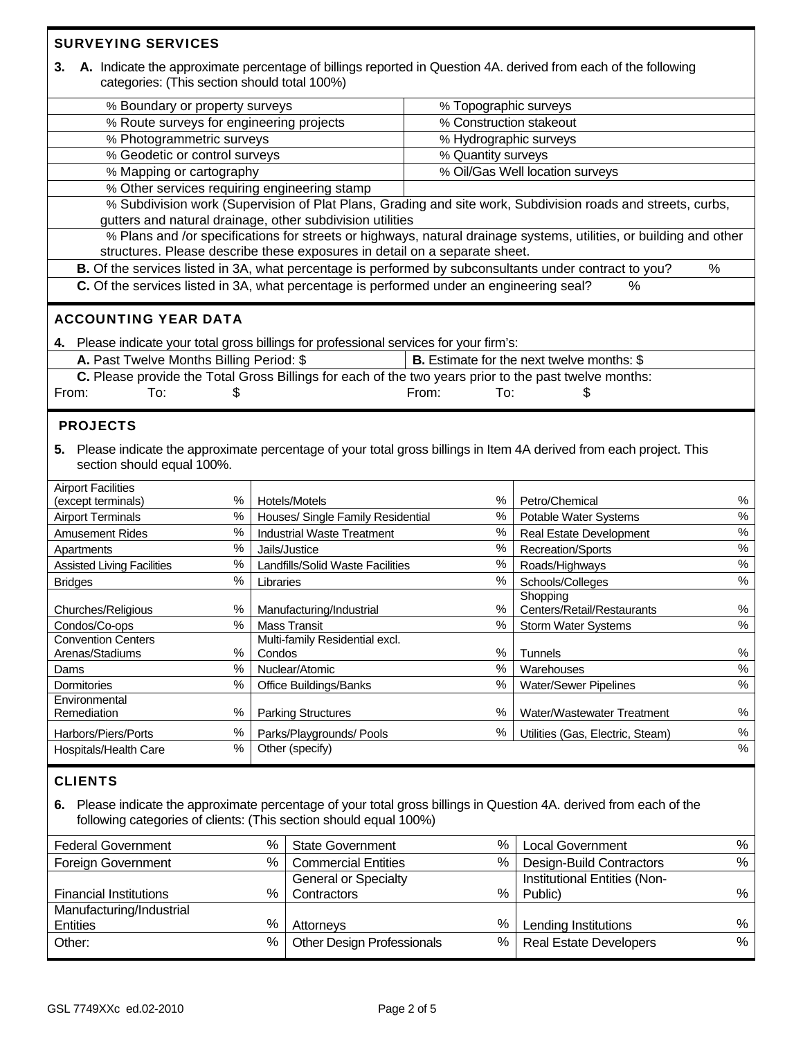| <b>SURVEYING SERVICES</b>                                                                    |                                           |                                                                            |                               |                                                                                                                       |        |  |  |
|----------------------------------------------------------------------------------------------|-------------------------------------------|----------------------------------------------------------------------------|-------------------------------|-----------------------------------------------------------------------------------------------------------------------|--------|--|--|
| 3.<br>categories: (This section should total 100%)                                           |                                           |                                                                            |                               | A. Indicate the approximate percentage of billings reported in Question 4A. derived from each of the following        |        |  |  |
| % Boundary or property surveys                                                               |                                           |                                                                            | % Topographic surveys         |                                                                                                                       |        |  |  |
| % Route surveys for engineering projects                                                     |                                           |                                                                            | % Construction stakeout       |                                                                                                                       |        |  |  |
| % Photogrammetric surveys                                                                    |                                           |                                                                            | % Hydrographic surveys        |                                                                                                                       |        |  |  |
| % Geodetic or control surveys                                                                |                                           |                                                                            | % Quantity surveys            |                                                                                                                       |        |  |  |
| % Mapping or cartography                                                                     |                                           |                                                                            |                               | % Oil/Gas Well location surveys                                                                                       |        |  |  |
| % Other services requiring engineering stamp                                                 |                                           |                                                                            |                               |                                                                                                                       |        |  |  |
|                                                                                              |                                           | gutters and natural drainage, other subdivision utilities                  |                               | % Subdivision work (Supervision of Plat Plans, Grading and site work, Subdivision roads and streets, curbs,           |        |  |  |
|                                                                                              |                                           |                                                                            |                               | % Plans and /or specifications for streets or highways, natural drainage systems, utilities, or building and other    |        |  |  |
|                                                                                              |                                           | structures. Please describe these exposures in detail on a separate sheet. |                               |                                                                                                                       |        |  |  |
|                                                                                              |                                           |                                                                            |                               | B. Of the services listed in 3A, what percentage is performed by subconsultants under contract to you?                | %      |  |  |
| C. Of the services listed in 3A, what percentage is performed under an engineering seal?     |                                           |                                                                            |                               | $\%$                                                                                                                  |        |  |  |
| <b>ACCOUNTING YEAR DATA</b>                                                                  |                                           |                                                                            |                               |                                                                                                                       |        |  |  |
| 4. Please indicate your total gross billings for professional services for your firm's:      |                                           |                                                                            |                               |                                                                                                                       |        |  |  |
| A. Past Twelve Months Billing Period: \$                                                     |                                           |                                                                            |                               | <b>B.</b> Estimate for the next twelve months: \$                                                                     |        |  |  |
|                                                                                              |                                           |                                                                            |                               | C. Please provide the Total Gross Billings for each of the two years prior to the past twelve months:                 |        |  |  |
| To:<br>From:                                                                                 | \$                                        |                                                                            | From:<br>To:                  | \$                                                                                                                    |        |  |  |
|                                                                                              |                                           |                                                                            |                               |                                                                                                                       |        |  |  |
| <b>PROJECTS</b>                                                                              |                                           |                                                                            |                               |                                                                                                                       |        |  |  |
| section should equal 100%.                                                                   |                                           |                                                                            |                               | 5. Please indicate the approximate percentage of your total gross billings in Item 4A derived from each project. This |        |  |  |
| <b>Airport Facilities</b><br>(except terminals)                                              | Hotels/Motels                             | %                                                                          | Petro/Chemical                | %                                                                                                                     |        |  |  |
| <b>Airport Terminals</b>                                                                     | %<br>$\%$                                 | %<br>Houses/ Single Family Residential                                     |                               | Potable Water Systems                                                                                                 | $\%$   |  |  |
| <b>Amusement Rides</b>                                                                       | $\%$                                      | <b>Industrial Waste Treatment</b>                                          | $\%$                          | <b>Real Estate Development</b>                                                                                        | $\%$   |  |  |
| Apartments                                                                                   | $\%$                                      | Jails/Justice                                                              | $\%$                          | Recreation/Sports                                                                                                     | $\%$   |  |  |
| <b>Assisted Living Facilities</b>                                                            | $\%$                                      | Landfills/Solid Waste Facilities                                           | $\%$                          | Roads/Highways                                                                                                        | $\%$   |  |  |
| $\%$<br><b>Bridges</b>                                                                       |                                           | ℅<br>Libraries                                                             |                               | Schools/Colleges                                                                                                      | $\%$   |  |  |
|                                                                                              |                                           |                                                                            |                               | Shopping                                                                                                              |        |  |  |
| Churches/Religious                                                                           | $\%$                                      | %<br>Manufacturing/Industrial                                              |                               | Centers/Retail/Restaurants                                                                                            | $\%$   |  |  |
| $\%$<br>Condos/Co-ops                                                                        |                                           | <b>Mass Transit</b><br>$\%$                                                |                               | Storm Water Systems                                                                                                   | $\%$   |  |  |
| <b>Convention Centers</b><br>Arenas/Stadiums                                                 | $\%$                                      | Multi-family Residential excl.<br>Condos                                   |                               | Tunnels                                                                                                               | %      |  |  |
| Dams                                                                                         | $\%$                                      | Nuclear/Atomic                                                             | %<br>$\%$                     | Warehouses                                                                                                            | $\%$   |  |  |
| Dormitories                                                                                  | $\%$                                      | <b>Office Buildings/Banks</b>                                              | ℅                             | <b>Water/Sewer Pipelines</b>                                                                                          | $\%$   |  |  |
| Environmental                                                                                |                                           |                                                                            |                               |                                                                                                                       |        |  |  |
| Remediation                                                                                  | $\%$                                      | ℅<br><b>Parking Structures</b>                                             |                               | Water/Wastewater Treatment                                                                                            | $\%$   |  |  |
| Harbors/Piers/Ports                                                                          | $\%$<br>$\%$                              | Parks/Playgrounds/ Pools                                                   | $\%$                          | Utilities (Gas, Electric, Steam)                                                                                      | %<br>% |  |  |
| Hospitals/Health Care                                                                        |                                           | Other (specify)                                                            |                               |                                                                                                                       |        |  |  |
| <b>CLIENTS</b>                                                                               |                                           |                                                                            |                               |                                                                                                                       |        |  |  |
| 6.<br>following categories of clients: (This section should equal 100%)                      |                                           |                                                                            |                               | Please indicate the approximate percentage of your total gross billings in Question 4A. derived from each of the      |        |  |  |
| $\%$<br>%<br><b>Federal Government</b><br><b>State Government</b><br><b>Local Government</b> |                                           |                                                                            |                               |                                                                                                                       |        |  |  |
| <b>Foreign Government</b>                                                                    | $\%$<br><b>Commercial Entities</b>        | $\%$                                                                       | Design-Build Contractors      | %<br>%                                                                                                                |        |  |  |
|                                                                                              |                                           | <b>General or Specialty</b>                                                |                               | Institutional Entities (Non-                                                                                          |        |  |  |
| <b>Financial Institutions</b>                                                                | %                                         | Contractors                                                                | %                             | Public)                                                                                                               |        |  |  |
| Manufacturing/Industrial                                                                     |                                           |                                                                            |                               |                                                                                                                       |        |  |  |
| <b>Entities</b>                                                                              | $\%$<br>Attorneys                         | $\%$<br>Lending Institutions                                               |                               | $\%$                                                                                                                  |        |  |  |
| Other:                                                                                       | $\%$<br><b>Other Design Professionals</b> | $\%$                                                                       | <b>Real Estate Developers</b> | $\%$                                                                                                                  |        |  |  |
|                                                                                              |                                           |                                                                            |                               |                                                                                                                       |        |  |  |

Г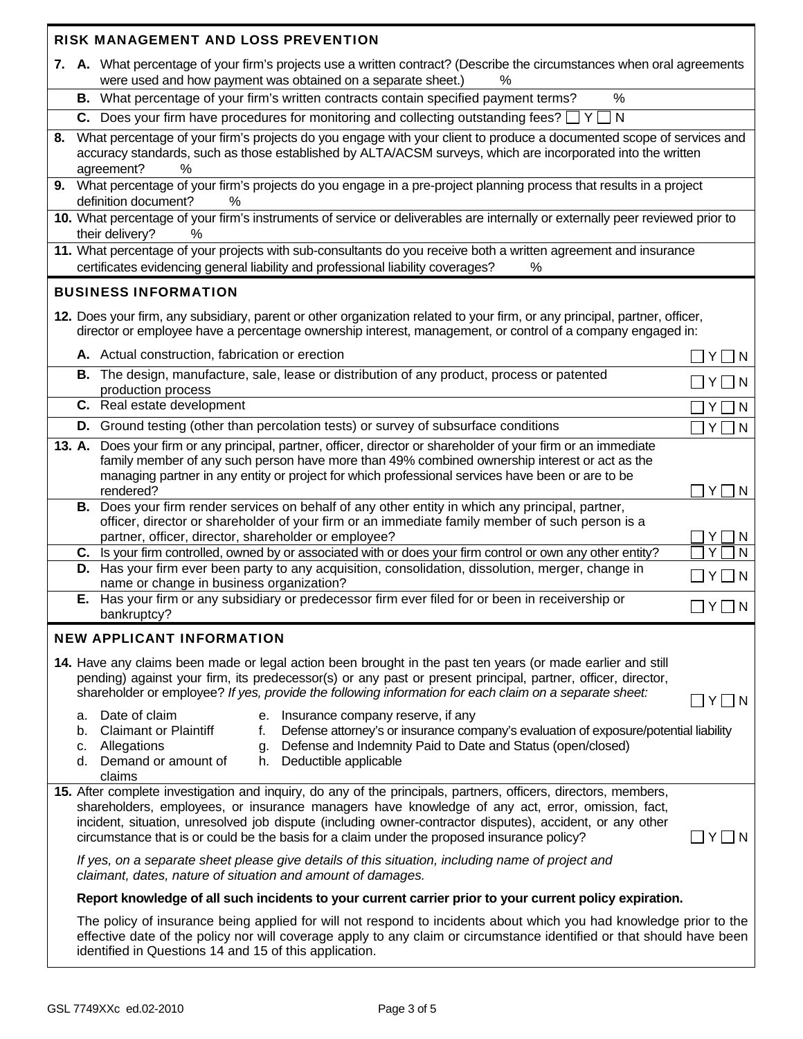|    |                                                                                                                                                                                                                                                                                                                                                              | RISK MANAGEMENT AND LOSS PREVENTION                                                                                                                                                                                                                                                                                                                                                                                             |                            |  |  |  |
|----|--------------------------------------------------------------------------------------------------------------------------------------------------------------------------------------------------------------------------------------------------------------------------------------------------------------------------------------------------------------|---------------------------------------------------------------------------------------------------------------------------------------------------------------------------------------------------------------------------------------------------------------------------------------------------------------------------------------------------------------------------------------------------------------------------------|----------------------------|--|--|--|
|    |                                                                                                                                                                                                                                                                                                                                                              | 7. A. What percentage of your firm's projects use a written contract? (Describe the circumstances when oral agreements<br>were used and how payment was obtained on a separate sheet.)<br>%                                                                                                                                                                                                                                     |                            |  |  |  |
|    |                                                                                                                                                                                                                                                                                                                                                              | B. What percentage of your firm's written contracts contain specified payment terms?<br>$\%$                                                                                                                                                                                                                                                                                                                                    |                            |  |  |  |
|    |                                                                                                                                                                                                                                                                                                                                                              | <b>C.</b> Does your firm have procedures for monitoring and collecting outstanding fees? $\Box$ Y $\Box$ N                                                                                                                                                                                                                                                                                                                      |                            |  |  |  |
| 8. | What percentage of your firm's projects do you engage with your client to produce a documented scope of services and<br>accuracy standards, such as those established by ALTA/ACSM surveys, which are incorporated into the written<br>agreement?<br>$\%$                                                                                                    |                                                                                                                                                                                                                                                                                                                                                                                                                                 |                            |  |  |  |
|    | 9. What percentage of your firm's projects do you engage in a pre-project planning process that results in a project<br>definition document?<br>%                                                                                                                                                                                                            |                                                                                                                                                                                                                                                                                                                                                                                                                                 |                            |  |  |  |
|    |                                                                                                                                                                                                                                                                                                                                                              | 10. What percentage of your firm's instruments of service or deliverables are internally or externally peer reviewed prior to<br>their delivery?<br>%                                                                                                                                                                                                                                                                           |                            |  |  |  |
|    |                                                                                                                                                                                                                                                                                                                                                              | 11. What percentage of your projects with sub-consultants do you receive both a written agreement and insurance<br>certificates evidencing general liability and professional liability coverages?<br>%                                                                                                                                                                                                                         |                            |  |  |  |
|    |                                                                                                                                                                                                                                                                                                                                                              | <b>BUSINESS INFORMATION</b>                                                                                                                                                                                                                                                                                                                                                                                                     |                            |  |  |  |
|    |                                                                                                                                                                                                                                                                                                                                                              | 12. Does your firm, any subsidiary, parent or other organization related to your firm, or any principal, partner, officer,<br>director or employee have a percentage ownership interest, management, or control of a company engaged in:                                                                                                                                                                                        |                            |  |  |  |
|    |                                                                                                                                                                                                                                                                                                                                                              | A. Actual construction, fabrication or erection                                                                                                                                                                                                                                                                                                                                                                                 | ΥI<br>$\overline{N}$       |  |  |  |
|    |                                                                                                                                                                                                                                                                                                                                                              | B. The design, manufacture, sale, lease or distribution of any product, process or patented<br>production process                                                                                                                                                                                                                                                                                                               | IN.                        |  |  |  |
|    |                                                                                                                                                                                                                                                                                                                                                              | C. Real estate development                                                                                                                                                                                                                                                                                                                                                                                                      | $Y \mid$<br>$\overline{N}$ |  |  |  |
|    |                                                                                                                                                                                                                                                                                                                                                              | <b>D.</b> Ground testing (other than percolation tests) or survey of subsurface conditions                                                                                                                                                                                                                                                                                                                                      | $Y \square N$              |  |  |  |
|    |                                                                                                                                                                                                                                                                                                                                                              | 13. A. Does your firm or any principal, partner, officer, director or shareholder of your firm or an immediate<br>family member of any such person have more than 49% combined ownership interest or act as the<br>managing partner in any entity or project for which professional services have been or are to be                                                                                                             |                            |  |  |  |
|    |                                                                                                                                                                                                                                                                                                                                                              | rendered?<br>B. Does your firm render services on behalf of any other entity in which any principal, partner,<br>officer, director or shareholder of your firm or an immediate family member of such person is a<br>partner, officer, director, shareholder or employee?                                                                                                                                                        | Y<br>IN.<br>Y<br>N         |  |  |  |
|    |                                                                                                                                                                                                                                                                                                                                                              | C. Is your firm controlled, owned by or associated with or does your firm control or own any other entity?                                                                                                                                                                                                                                                                                                                      | Υ                          |  |  |  |
|    |                                                                                                                                                                                                                                                                                                                                                              | D. Has your firm ever been party to any acquisition, consolidation, dissolution, merger, change in<br>name or change in business organization?                                                                                                                                                                                                                                                                                  | $\Box$ Y $\Box$ N          |  |  |  |
|    |                                                                                                                                                                                                                                                                                                                                                              | E. Has your firm or any subsidiary or predecessor firm ever filed for or been in receivership or<br>bankruptcy?                                                                                                                                                                                                                                                                                                                 | $\square$ Y $\square$ N    |  |  |  |
|    |                                                                                                                                                                                                                                                                                                                                                              | <b>NEW APPLICANT INFORMATION</b>                                                                                                                                                                                                                                                                                                                                                                                                |                            |  |  |  |
|    |                                                                                                                                                                                                                                                                                                                                                              | 14. Have any claims been made or legal action been brought in the past ten years (or made earlier and still<br>pending) against your firm, its predecessor(s) or any past or present principal, partner, officer, director,<br>shareholder or employee? If yes, provide the following information for each claim on a separate sheet:                                                                                           | YI<br>IN.                  |  |  |  |
|    | Date of claim<br>e. Insurance company reserve, if any<br>а.<br>Defense attorney's or insurance company's evaluation of exposure/potential liability<br><b>Claimant or Plaintiff</b><br>b.<br>f.<br>Defense and Indemnity Paid to Date and Status (open/closed)<br>Allegations<br>c.<br>g.<br>d. Demand or amount of<br>Deductible applicable<br>h.<br>claims |                                                                                                                                                                                                                                                                                                                                                                                                                                 |                            |  |  |  |
|    |                                                                                                                                                                                                                                                                                                                                                              | 15. After complete investigation and inquiry, do any of the principals, partners, officers, directors, members,<br>shareholders, employees, or insurance managers have knowledge of any act, error, omission, fact,<br>incident, situation, unresolved job dispute (including owner-contractor disputes), accident, or any other<br>circumstance that is or could be the basis for a claim under the proposed insurance policy? | Y <br>$\overline{N}$       |  |  |  |
|    |                                                                                                                                                                                                                                                                                                                                                              | If yes, on a separate sheet please give details of this situation, including name of project and<br>claimant, dates, nature of situation and amount of damages.                                                                                                                                                                                                                                                                 |                            |  |  |  |
|    | Report knowledge of all such incidents to your current carrier prior to your current policy expiration.                                                                                                                                                                                                                                                      |                                                                                                                                                                                                                                                                                                                                                                                                                                 |                            |  |  |  |
|    |                                                                                                                                                                                                                                                                                                                                                              | The policy of insurance being applied for will not respond to incidents about which you had knowledge prior to the<br>effective date of the policy nor will coverage apply to any claim or circumstance identified or that should have been<br>identified in Questions 14 and 15 of this application.                                                                                                                           |                            |  |  |  |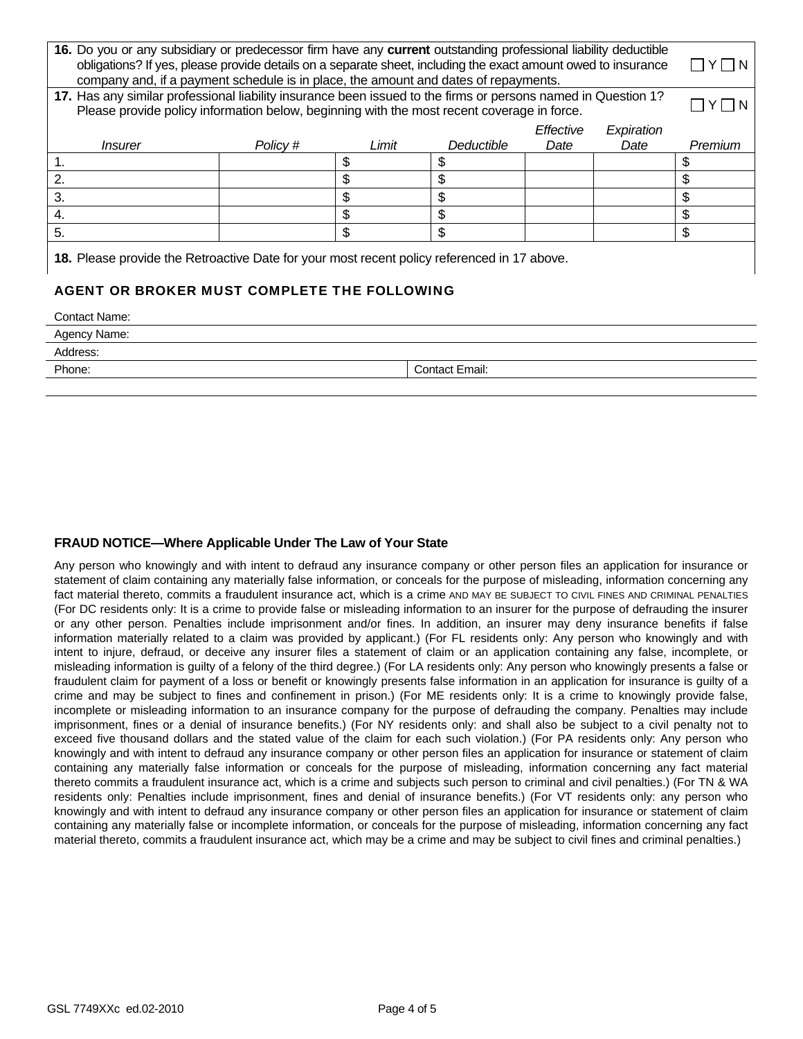| 16. Do you or any subsidiary or predecessor firm have any current outstanding professional liability deductible<br>obligations? If yes, please provide details on a separate sheet, including the exact amount owed to insurance<br>company and, if a payment schedule is in place, the amount and dates of repayments. |          |       |                       |           |            |         |  |  |
|-------------------------------------------------------------------------------------------------------------------------------------------------------------------------------------------------------------------------------------------------------------------------------------------------------------------------|----------|-------|-----------------------|-----------|------------|---------|--|--|
| 17. Has any similar professional liability insurance been issued to the firms or persons named in Question 1?<br>Please provide policy information below, beginning with the most recent coverage in force.                                                                                                             |          |       |                       |           |            |         |  |  |
|                                                                                                                                                                                                                                                                                                                         |          |       |                       | Effective | Expiration |         |  |  |
| <i>Insurer</i>                                                                                                                                                                                                                                                                                                          | Policy # | Limit | Deductible            | Date      | Date       | Premium |  |  |
| 1.                                                                                                                                                                                                                                                                                                                      |          | \$    | \$                    |           |            |         |  |  |
| 2.                                                                                                                                                                                                                                                                                                                      |          | \$    | \$                    |           |            | \$      |  |  |
| 3.                                                                                                                                                                                                                                                                                                                      |          | \$    | \$                    |           |            | \$      |  |  |
| 4.                                                                                                                                                                                                                                                                                                                      |          | \$    | \$                    |           |            | \$      |  |  |
| 5.                                                                                                                                                                                                                                                                                                                      |          | \$    | \$                    |           |            | \$      |  |  |
| 18. Please provide the Retroactive Date for your most recent policy referenced in 17 above.                                                                                                                                                                                                                             |          |       |                       |           |            |         |  |  |
| AGENT OR BROKER MUST COMPLETE THE FOLLOWING                                                                                                                                                                                                                                                                             |          |       |                       |           |            |         |  |  |
| <b>Contact Name:</b>                                                                                                                                                                                                                                                                                                    |          |       |                       |           |            |         |  |  |
| Agency Name:                                                                                                                                                                                                                                                                                                            |          |       |                       |           |            |         |  |  |
| Address:                                                                                                                                                                                                                                                                                                                |          |       |                       |           |            |         |  |  |
| Phone:                                                                                                                                                                                                                                                                                                                  |          |       | <b>Contact Email:</b> |           |            |         |  |  |

## **FRAUD NOTICE—Where Applicable Under The Law of Your State**

Any person who knowingly and with intent to defraud any insurance company or other person files an application for insurance or statement of claim containing any materially false information, or conceals for the purpose of misleading, information concerning any fact material thereto, commits a fraudulent insurance act, which is a crime AND MAY BE SUBJECT TO CIVIL FINES AND CRIMINAL PENALTIES (For DC residents only: It is a crime to provide false or misleading information to an insurer for the purpose of defrauding the insurer or any other person. Penalties include imprisonment and/or fines. In addition, an insurer may deny insurance benefits if false information materially related to a claim was provided by applicant.) (For FL residents only: Any person who knowingly and with intent to injure, defraud, or deceive any insurer files a statement of claim or an application containing any false, incomplete, or misleading information is guilty of a felony of the third degree.) (For LA residents only: Any person who knowingly presents a false or fraudulent claim for payment of a loss or benefit or knowingly presents false information in an application for insurance is guilty of a crime and may be subject to fines and confinement in prison.) (For ME residents only: It is a crime to knowingly provide false, incomplete or misleading information to an insurance company for the purpose of defrauding the company. Penalties may include imprisonment, fines or a denial of insurance benefits.) (For NY residents only: and shall also be subject to a civil penalty not to exceed five thousand dollars and the stated value of the claim for each such violation.) (For PA residents only: Any person who knowingly and with intent to defraud any insurance company or other person files an application for insurance or statement of claim containing any materially false information or conceals for the purpose of misleading, information concerning any fact material thereto commits a fraudulent insurance act, which is a crime and subjects such person to criminal and civil penalties.) (For TN & WA residents only: Penalties include imprisonment, fines and denial of insurance benefits.) (For VT residents only: any person who knowingly and with intent to defraud any insurance company or other person files an application for insurance or statement of claim containing any materially false or incomplete information, or conceals for the purpose of misleading, information concerning any fact material thereto, commits a fraudulent insurance act, which may be a crime and may be subject to civil fines and criminal penalties.)